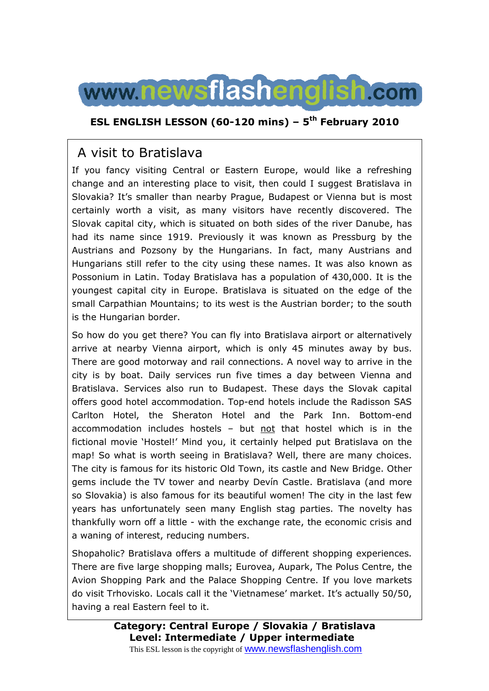

### **ESL ENGLISH LESSON (60-120 mins) – 5th February 2010**

## A visit to Bratislava

If you fancy visiting Central or Eastern Europe, would like a refreshing change and an interesting place to visit, then could I suggest Bratislava in Slovakia? It's smaller than nearby Prague, Budapest or Vienna but is most certainly worth a visit, as many visitors have recently discovered. The Slovak capital city, which is situated on both sides of the river Danube, has had its name since 1919. Previously it was known as Pressburg by the Austrians and Pozsony by the Hungarians. In fact, many Austrians and Hungarians still refer to the city using these names. It was also known as Possonium in Latin. Today Bratislava has a population of 430,000. It is the youngest capital city in Europe. Bratislava is situated on the edge of the small Carpathian Mountains; to its west is the Austrian border; to the south is the Hungarian border.

So how do you get there? You can fly into Bratislava airport or alternatively arrive at nearby Vienna airport, which is only 45 minutes away by bus. There are good motorway and rail connections. A novel way to arrive in the city is by boat. Daily services run five times a day between Vienna and Bratislava. Services also run to Budapest. These days the Slovak capital offers good hotel accommodation. Top-end hotels include the Radisson SAS Carlton Hotel, the Sheraton Hotel and the Park Inn. Bottom-end accommodation includes hostels – but not that hostel which is in the fictional movie 'Hostel!' Mind you, it certainly helped put Bratislava on the map! So what is worth seeing in Bratislava? Well, there are many choices. The city is famous for its historic Old Town, its castle and New Bridge. Other gems include the TV tower and nearby Devín Castle. Bratislava (and more so Slovakia) is also famous for its beautiful women! The city in the last few years has unfortunately seen many English stag parties. The novelty has thankfully worn off a little - with the exchange rate, the economic crisis and a waning of interest, reducing numbers.

Shopaholic? Bratislava offers a multitude of different shopping experiences. There are five large shopping malls; Eurovea, Aupark, The Polus Centre, the Avion Shopping Park and the Palace Shopping Centre. If you love markets do visit Trhovisko. Locals call it the 'Vietnamese' market. It's actually 50/50, having a real Eastern feel to it.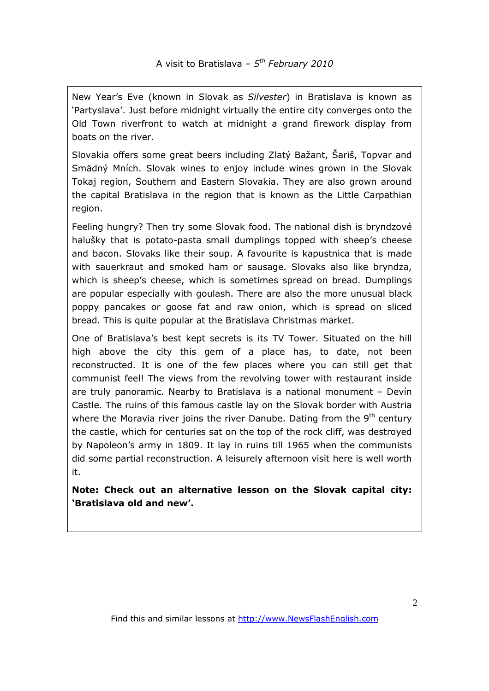New Year's Eve (known in Slovak as *Silvester*) in Bratislava is known as 'Partyslava'. Just before midnight virtually the entire city converges onto the Old Town riverfront to watch at midnight a grand firework display from boats on the river.

Slovakia offers some great beers including Zlatý Bažant, Šariš, Topvar and Smädný Mních. Slovak wines to enjoy include wines grown in the Slovak Tokaj region, Southern and Eastern Slovakia. They are also grown around the capital Bratislava in the region that is known as the Little Carpathian region.

Feeling hungry? Then try some Slovak food. The national dish is bryndzové halušky that is potato-pasta small dumplings topped with sheep's cheese and bacon. Slovaks like their soup. A favourite is kapustnica that is made with sauerkraut and smoked ham or sausage. Slovaks also like bryndza, which is sheep's cheese, which is sometimes spread on bread. Dumplings are popular especially with goulash. There are also the more unusual black poppy pancakes or goose fat and raw onion, which is spread on sliced bread. This is quite popular at the Bratislava Christmas market.

One of Bratislava's best kept secrets is its TV Tower. Situated on the hill high above the city this gem of a place has, to date, not been reconstructed. It is one of the few places where you can still get that communist feel! The views from the revolving tower with restaurant inside are truly panoramic. Nearby to Bratislava is a national monument – Devín Castle. The ruins of this famous castle lay on the Slovak border with Austria where the Moravia river joins the river Danube. Dating from the  $9<sup>th</sup>$  century the castle, which for centuries sat on the top of the rock cliff, was destroyed by Napoleon's army in 1809. It lay in ruins till 1965 when the communists did some partial reconstruction. A leisurely afternoon visit here is well worth it.

**Note: Check out an alternative lesson on the Slovak capital city: 'Bratislava old and new'.**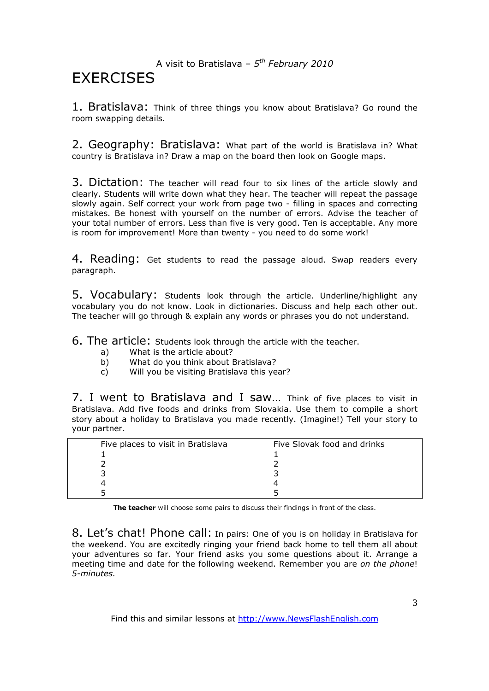### A visit to Bratislava – *5 th February 2010*

# **FXFRCISES**

1. Bratislava: Think of three things you know about Bratislava? Go round the room swapping details.

2. Geography: Bratislava: What part of the world is Bratislava in? What country is Bratislava in? Draw a map on the board then look on Google maps.

3. Dictation: The teacher will read four to six lines of the article slowly and clearly. Students will write down what they hear. The teacher will repeat the passage slowly again. Self correct your work from page two - filling in spaces and correcting mistakes. Be honest with yourself on the number of errors. Advise the teacher of your total number of errors. Less than five is very good. Ten is acceptable. Any more is room for improvement! More than twenty - you need to do some work!

4. Reading: Get students to read the passage aloud. Swap readers every paragraph.

5. Vocabulary: Students look through the article. Underline/highlight any vocabulary you do not know. Look in dictionaries. Discuss and help each other out. The teacher will go through & explain any words or phrases you do not understand.

6. The article: Students look through the article with the teacher.

- a) What is the article about?
- b) What do you think about Bratislava?
- c) Will you be visiting Bratislava this year?

7. I went to Bratislava and I saw… Think of five places to visit in Bratislava. Add five foods and drinks from Slovakia. Use them to compile a short story about a holiday to Bratislava you made recently. (Imagine!) Tell your story to your partner.

| Five places to visit in Bratislava | Five Slovak food and drinks |
|------------------------------------|-----------------------------|
|                                    |                             |
|                                    |                             |
|                                    |                             |
|                                    |                             |
|                                    |                             |

**The teacher** will choose some pairs to discuss their findings in front of the class.

8. Let's chat! Phone call: In pairs: One of you is on holiday in Bratislava for the weekend. You are excitedly ringing your friend back home to tell them all about your adventures so far. Your friend asks you some questions about it. Arrange a meeting time and date for the following weekend. Remember you are *on the phone*! *5-minutes.* 

Find this and similar lessons at http://www.NewsFlashEnglish.com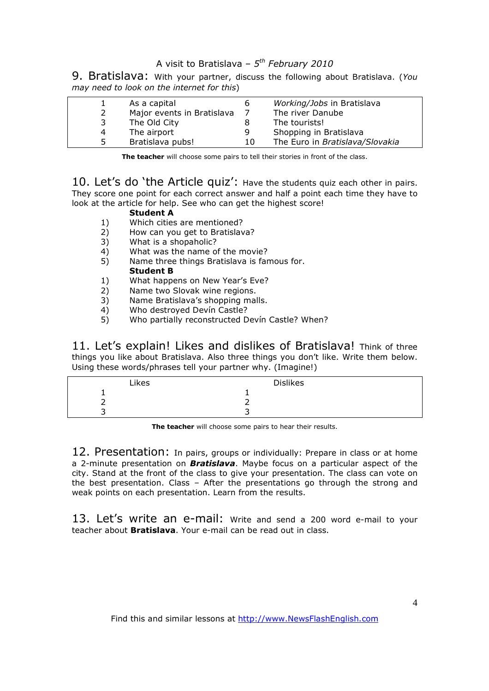### A visit to Bratislava – *5 th February 2010*

9. Bratislava: With your partner, discuss the following about Bratislava. (*You may need to look on the internet for this*)

|    | As a capital               | b  | Working/Jobs in Bratislava      |
|----|----------------------------|----|---------------------------------|
|    | Major events in Bratislava |    | The river Danube                |
| 3  | The Old City               |    | The tourists!                   |
| 4  | The airport                | q  | Shopping in Bratislava          |
| 5. | Bratislava pubs!           | 10 | The Euro in Bratislava/Slovakia |

**The teacher** will choose some pairs to tell their stories in front of the class.

10. Let's do 'the Article quiz': Have the students quiz each other in pairs. They score one point for each correct answer and half a point each time they have to look at the article for help. See who can get the highest score!

#### **Student A**

- 1) Which cities are mentioned?
- 2) How can you get to Bratislava?
- 3) What is a shopaholic?
- 4) What was the name of the movie?
- 5) Name three things Bratislava is famous for. **Student B**
- 1) What happens on New Year's Eve?
- 2) Name two Slovak wine regions.
- 3) Name Bratislava's shopping malls.<br>4) Who destroved Devín Castle?
- 4) Who destroyed Devín Castle?<br>5) Who partially reconstructed D
- 5) Who partially reconstructed Devín Castle? When?

11. Let's explain! Likes and dislikes of Bratislava! Think of three things you like about Bratislava. Also three things you don't like. Write them below. Using these words/phrases tell your partner why. (Imagine!)

| Likes | <b>Dislikes</b> |
|-------|-----------------|
|       |                 |
|       |                 |
|       |                 |

**The teacher** will choose some pairs to hear their results.

12. Presentation: In pairs, groups or individually: Prepare in class or at home a 2-minute presentation on *Bratislava*. Maybe focus on a particular aspect of the city. Stand at the front of the class to give your presentation. The class can vote on the best presentation. Class – After the presentations go through the strong and weak points on each presentation. Learn from the results.

13. Let's write an e-mail: Write and send a 200 word e-mail to your teacher about **Bratislava**. Your e-mail can be read out in class.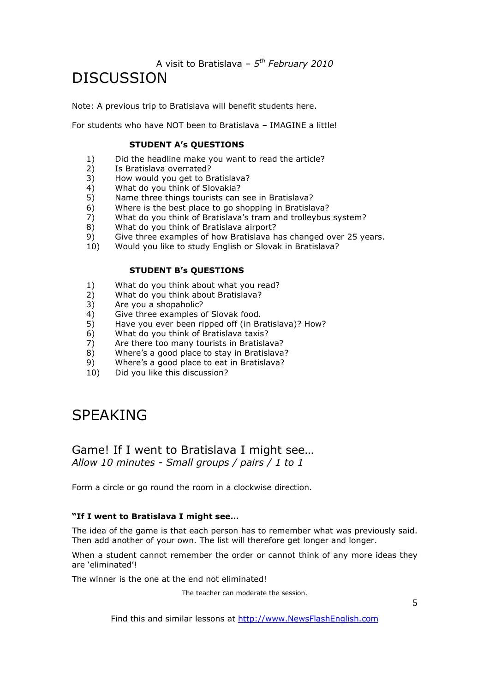A visit to Bratislava – *5 th February 2010*

# DISCUSSION

Note: A previous trip to Bratislava will benefit students here.

For students who have NOT been to Bratislava – IMAGINE a little!

#### **STUDENT A's QUESTIONS**

- 1) Did the headline make you want to read the article?<br>2) Is Bratislava overrated?
- 2) Is Bratislava overrated?
- 3) How would you get to Bratislava?
- 4) What do you think of Slovakia?<br>5) Name three things tourists can
- 5) Name three things tourists can see in Bratislava?
- 6) Where is the best place to go shopping in Bratislava?
- 7) What do you think of Bratislava's tram and trolleybus system?
- 8) What do you think of Bratislava airport?
- 9) Give three examples of how Bratislava has changed over 25 years.
- 10) Would you like to study English or Slovak in Bratislava?

#### **STUDENT B's QUESTIONS**

- 1) What do you think about what you read?
- 2) What do you think about Bratislava?
- 3) Are you a shopaholic?
- 4) Give three examples of Slovak food.
- 5) Have you ever been ripped off (in Bratislava)? How?
- 6) What do you think of Bratislava taxis?
- 7) Are there too many tourists in Bratislava?
- 8) Where's a good place to stay in Bratislava?
- 9) Where's a good place to eat in Bratislava?
- 10) Did you like this discussion?

# SPEAKING

### Game! If I went to Bratislava I might see… *Allow 10 minutes - Small groups / pairs / 1 to 1*

Form a circle or go round the room in a clockwise direction.

#### **"If I went to Bratislava I might see…**

The idea of the game is that each person has to remember what was previously said. Then add another of your own. The list will therefore get longer and longer.

When a student cannot remember the order or cannot think of any more ideas they are 'eliminated'!

The winner is the one at the end not eliminated!

The teacher can moderate the session.

Find this and similar lessons at http://www.NewsFlashEnglish.com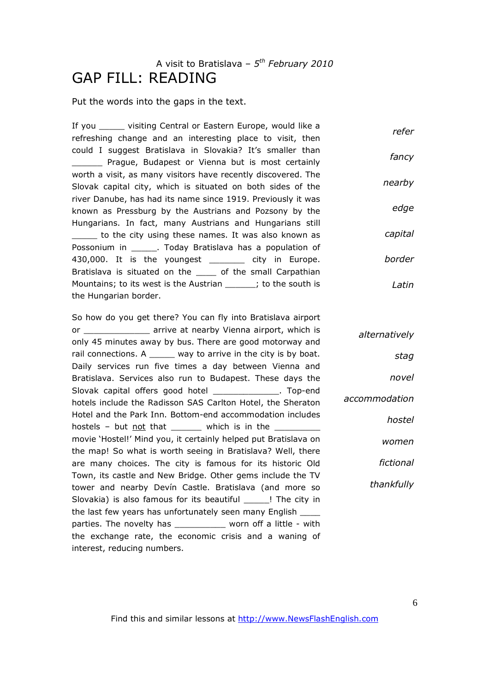## A visit to Bratislava – *5 th February 2010* GAP FILL: READING

Put the words into the gaps in the text.

If you visiting Central or Eastern Europe, would like a refreshing change and an interesting place to visit, then could I suggest Bratislava in Slovakia? It's smaller than \_\_\_\_\_\_ Prague, Budapest or Vienna but is most certainly worth a visit, as many visitors have recently discovered. The Slovak capital city, which is situated on both sides of the river Danube, has had its name since 1919. Previously it was known as Pressburg by the Austrians and Pozsony by the Hungarians. In fact, many Austrians and Hungarians still \_\_\_\_\_ to the city using these names. It was also known as Possonium in . Today Bratislava has a population of 430,000. It is the youngest exactly in Europe. Bratislava is situated on the \_\_\_\_ of the small Carpathian Mountains; to its west is the Austrian \_\_\_\_\_\_; to the south is the Hungarian border. *refer fancy nearby edge capital border Latin*

So how do you get there? You can fly into Bratislava airport or **\_\_\_\_\_\_\_\_\_** arrive at nearby Vienna airport, which is only 45 minutes away by bus. There are good motorway and rail connections. A \_\_\_\_\_ way to arrive in the city is by boat. Daily services run five times a day between Vienna and Bratislava. Services also run to Budapest. These days the Slovak capital offers good hotel **Slovak** Top-end hotels include the Radisson SAS Carlton Hotel, the Sheraton Hotel and the Park Inn. Bottom-end accommodation includes hostels – but  $not$  that \_\_\_\_\_\_ which is in the \_\_\_\_\_\_\_\_\_\_ movie 'Hostel!' Mind you, it certainly helped put Bratislava on the map! So what is worth seeing in Bratislava? Well, there are many choices. The city is famous for its historic Old Town, its castle and New Bridge. Other gems include the TV tower and nearby Devín Castle. Bratislava (and more so Slovakia) is also famous for its beautiful Fame in the city in the last few years has unfortunately seen many English \_\_\_\_ parties. The novelty has worn off a little - with the exchange rate, the economic crisis and a waning of interest, reducing numbers.

*alternatively stag novel accommodation hostel women fictional thankfully*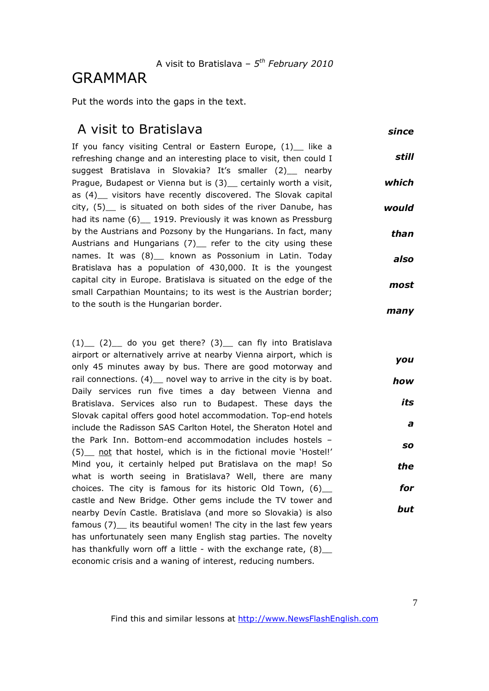# GRAMMAR

Put the words into the gaps in the text.

## A visit to Bratislava

*since*

*you*

*how*

*its*

*a*

*so*

*the*

*for*

*but*

If you fancy visiting Central or Eastern Europe, (1)\_ like a refreshing change and an interesting place to visit, then could I suggest Bratislava in Slovakia? It's smaller (2) nearby Prague, Budapest or Vienna but is (3) certainly worth a visit, as (4) visitors have recently discovered. The Slovak capital city,  $(5)$  is situated on both sides of the river Danube, has had its name (6) \_ 1919. Previously it was known as Pressburg by the Austrians and Pozsony by the Hungarians. In fact, many Austrians and Hungarians (7) refer to the city using these names. It was (8) \_ known as Possonium in Latin. Today Bratislava has a population of 430,000. It is the youngest capital city in Europe. Bratislava is situated on the edge of the small Carpathian Mountains; to its west is the Austrian border; to the south is the Hungarian border. *still which would than also most many*

 $(1)$   $(2)$  do you get there?  $(3)$  can fly into Bratislava airport or alternatively arrive at nearby Vienna airport, which is only 45 minutes away by bus. There are good motorway and rail connections. (4) \_ novel way to arrive in the city is by boat. Daily services run five times a day between Vienna and Bratislava. Services also run to Budapest. These days the Slovak capital offers good hotel accommodation. Top-end hotels include the Radisson SAS Carlton Hotel, the Sheraton Hotel and the Park Inn. Bottom-end accommodation includes hostels – (5) not that hostel, which is in the fictional movie 'Hostel!' Mind you, it certainly helped put Bratislava on the map! So what is worth seeing in Bratislava? Well, there are many choices. The city is famous for its historic Old Town,  $(6)$ castle and New Bridge. Other gems include the TV tower and nearby Devín Castle. Bratislava (and more so Slovakia) is also famous (7) its beautiful women! The city in the last few years has unfortunately seen many English stag parties. The novelty has thankfully worn off a little - with the exchange rate,  $(8)$ economic crisis and a waning of interest, reducing numbers.